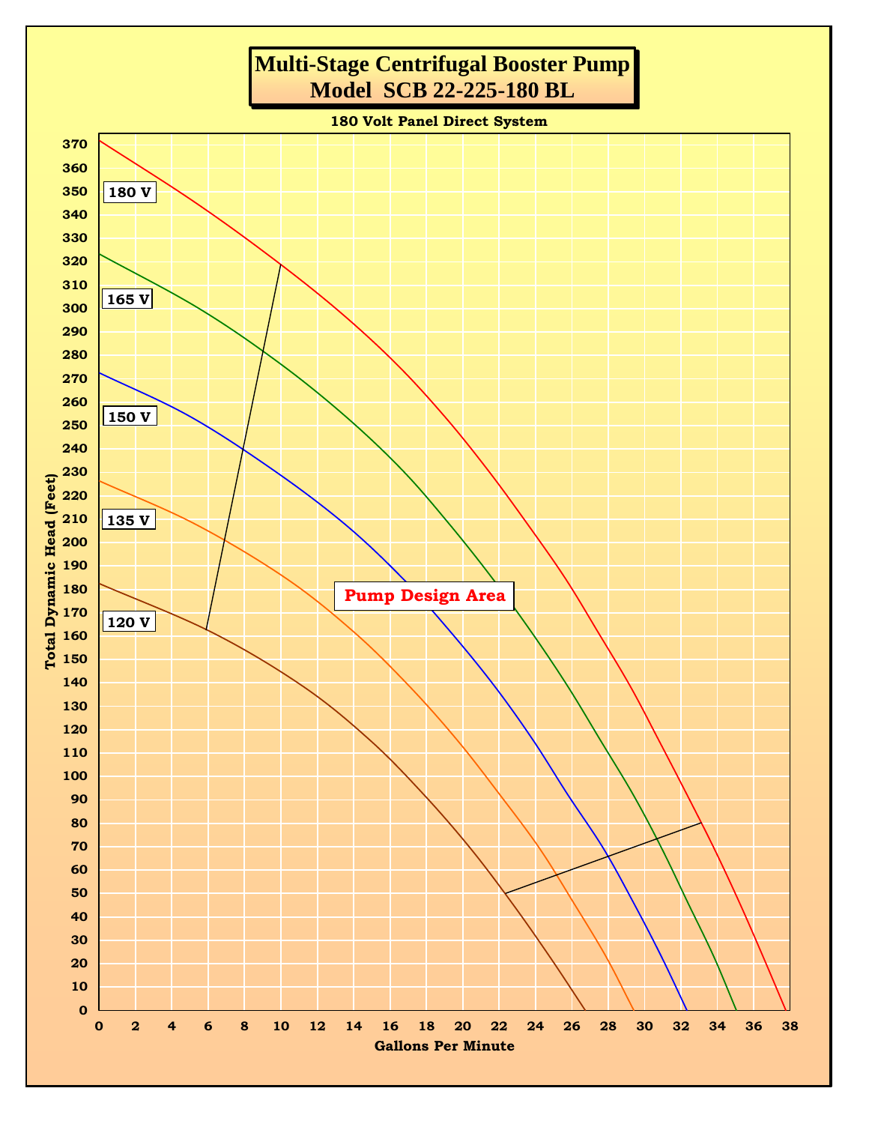